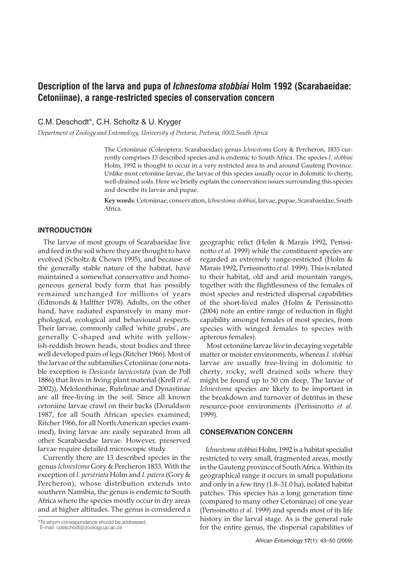# **Description of the larva and pupa of** *Ichnestoma stobbiai* **Holm 1992 (Scarabaeidae: Cetoniinae), a range-restricted species of conservation concern**

C.M. Deschodt\*, C.H. Scholtz & U. Kryger

*Department of Zoology and Entomology, University of Pretoria, Pretoria, 0002 South Africa*

The Cetoniinae (Coleoptera: Scarabaeidae) genus *Ichnestoma* Gory & Percheron, 1833 currently comprises 13 described species and is endemic to South Africa. The species *I. stobbiai* Holm, 1992 is thought to occur in a very restricted area in and around Gauteng Province. Unlike most cetoniine larvae, the larvae of this species usually occur in dolomitic to cherty, well-drained soils. Here we briefly explain the conservation issues surrounding this species and describe its larvae and pupae.

**Key words**: Cetoniinae, conservation, *Ichnestoma stobbiai,* larvae, pupae, Scarabaeidae, South Africa.

### **INTRODUCTION**

The larvae of most groups of Scarabaeidae live and feed in the soil where they are thought to have evolved (Scholtz & Chown 1995), and because of the generally stable nature of the habitat, have maintained a somewhat conservative and homogeneous general body form that has possibly remained unchanged for millions of years (Edmonds & Halffter 1978). Adults, on the other hand, have radiated expansively in many morphological, ecological and behavioural respects. Their larvae, commonly called 'white grubs', are generally C-shaped and white with yellowish-reddish brown heads, stout bodies and three well developed pairs of legs (Ritcher 1966). Most of the larvae of the subfamilies Cetoniinae (one notable exception is *Desicasta laevicostata* (van de Poll 1886) that lives in living plant material (Krell *et al.* 2002)), Melolonthinae, Rutelinae and Dynastinae are all free-living in the soil. Since all known cetoniine larvae crawl on their backs (Donaldson 1987, for all South African species examined; Ritcher 1966, for all North American species examined), living larvae are easily separated from all other Scarabaeidae larvae. However, preserved larvae require detailed microscopic study.

Currently there are 13 described species in the genus *Ichnestoma* Gory & Percheron 1833. With the exception of *I. perstriata* Holm and *I. patera* (Gory & Percheron), whose distribution extends into southern Namibia, the genus is endemic to South Africa where the species mostly occur in dry areas and at higher altitudes. The genus is considered a

\*To whom correspondence should be addressed. E-mail: cdeschodt@zoology.up.ac.za

geographic relict (Holm & Marais 1992, Perissinotto *et al.* 1999) while the constituent species are regarded as extremely range-restricted (Holm & Marais 1992, Perissinotto *et al.* 1999). This is related to their habitat, old and arid mountain ranges, together with the flightlessness of the females of most species and restricted dispersal capabilities of the short-lived males (Holm & Perissinotto (2004) note an entire range of reduction in flight capability amongst females of most species, from species with winged females to species with apterous females).

Most cetoniine larvae live in decaying vegetable matter or moister environments, whereas *I. stobbiai* larvae are usually free-living in dolomitic to cherty, rocky, well drained soils where they might be found up to 50 cm deep. The larvae of *Ichnestoma* species are likely to be important in the breakdown and turnover of detritus in these resource-poor environments (Perissinotto *et al.* 1999).

#### **CONSERVATION CONCERN**

*Ichnestoma stobbiai* Holm, 1992 is a habitat specialist restricted to very small, fragmented areas, mostly in the Gauteng province of South Africa. Within its geographical range it occurs in small populations and only in a few tiny (1.8–31.0 ha), isolated habitat patches. This species has a long generation time (compared to many other Cetoniinae) of one year (Perissinotto *et al.* 1999) and spends most of its life history in the larval stage. As is the general rule for the entire genus, the dispersal capabilities of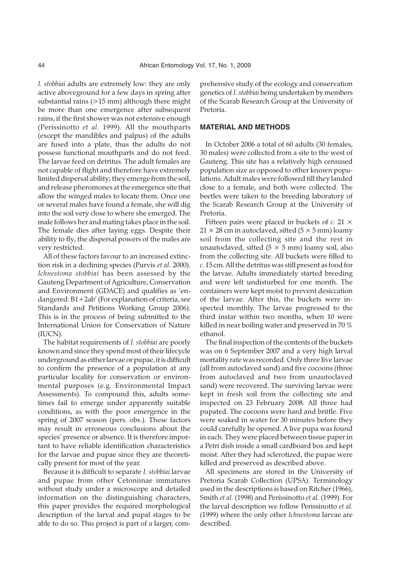*I. stobbiai* adults are extremely low: they are only active aboveground for a few days in spring after substantial rains (>15 mm) although there might be more than one emergence after subsequent rains, if the first shower was not extensive enough (Perissinotto *et al.* 1999). All the mouthparts (except the mandibles and palpus) of the adults are fused into a plate, thus the adults do not possess functional mouthparts and do not feed. The larvae feed on detritus. The adult females are not capable of flight and therefore have extremely limited dispersal ability; they emerge from the soil, and release pheromones at the emergence site that allow the winged males to locate them. Once one or several males have found a female, she will dig into the soil very close to where she emerged. The male follows her and mating takes place in the soil. The female dies after laying eggs. Despite their ability to fly, the dispersal powers of the males are very restricted.

All of these factors favour to an increased extinction risk in a declining species (Purvis *et al.* 2000). *Ichnestoma stobbiai* has been assessed by the Gauteng Department of Agriculture, Conservation and Environment (GDACE) and qualifies as 'endangered: B1+2ab' (For explanation of criteria, see Standards and Petitions Working Group 2006). This is in the process of being submitted to the International Union for Conservation of Nature (IUCN).

The habitat requirements of *I. stobbiai* are poorly known and since they spend most of their lifecycle underground as either larvae or pupae, it is difficult to confirm the presence of a population at any particular locality for conservation or environmental purposes (e.g. Environmental Impact Assessments). To compound this, adults sometimes fail to emerge under apparently suitable conditions, as with the poor emergence in the spring of 2007 season (pers. obs.). These factors may result in erroneous conclusions about the species' presence or absence. It is therefore important to have reliable identification characteristics for the larvae and pupae since they are theoretically present for most of the year.

Because it is difficult to separate *I. stobbiai* larvae and pupae from other Cetoniinae immatures without study under a microscope and detailed information on the distinguishing characters, this paper provides the required morphological description of the larval and pupal stages to be able to do so. This project is part of a larger, com-

prehensive study of the ecology and conservation genetics of *I. stobbiai* being undertaken by members of the Scarab Research Group at the University of Pretoria.

### **MATERIAL AND METHODS**

In October 2006 a total of 60 adults (30 females, 30 males) were collected from a site to the west of Gauteng. This site has a relatively high censused population size as opposed to other known populations. Adult males were followed till they landed close to a female, and both were collected. The beetles were taken to the breeding laboratory of the Scarab Research Group at the University of Pretoria.

Fifteen pairs were placed in buckets of *c.* 21 ×  $21 \times 28$  cm in autoclaved, sifted (5  $\times$  5 mm) loamy soil from the collecting site and the rest in unautoclaved, sifted  $(5 \times 5 \text{ mm})$  loamy soil, also from the collecting site. All buckets were filled to *c.* 15 cm. All the detritus was still present as food for the larvae. Adults immediately started breeding and were left undisturbed for one month. The containers were kept moist to prevent desiccation of the larvae. After this, the buckets were inspected monthly. The larvae progressed to the third instar within two months, when 10 were killed in near boiling water and preserved in 70 % ethanol.

The final inspection of the contents of the buckets was on 6 September 2007 and a very high larval mortality rate was recorded. Only three live larvae (all from autoclaved sand) and five cocoons (three from autoclaved and two from unautoclaved sand) were recovered. The surviving larvae were kept in fresh soil from the collecting site and inspected on 23 February 2008. All three had pupated. The cocoons were hard and brittle. Five were soaked in water for 30 minutes before they could carefully be opened. A live pupa was found in each. They were placed between tissue paper in a Petri dish inside a small cardboard box and kept moist. After they had sclerotized, the pupae were killed and preserved as described above.

All specimens are stored in the University of Pretoria Scarab Collection (UPSA). Terminology used in the descriptions is based on Ritcher (1966), Smith *et al.* (1998) and Perissinotto *et al.* (1999). For the larval description we follow Perissinotto *et al.* (1999) where the only other *Ichnestoma* larvae are described.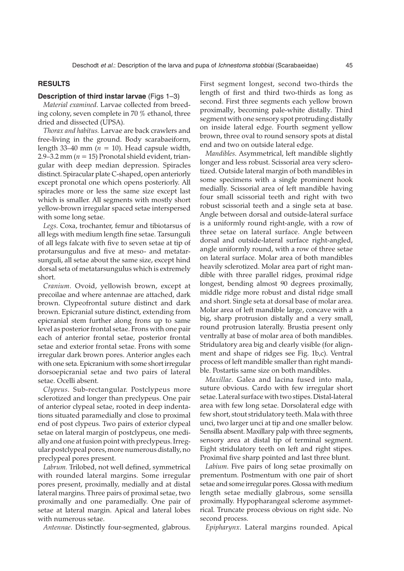### **RESULTS**

## **Description of third instar larvae** (Figs 1–3)

*Material examined*. Larvae collected from breeding colony, seven complete in 70 % ethanol, three dried and dissected (UPSA).

*Thorax and habitus.* Larvae are back crawlers and free-living in the ground. Body scarabaeiform, length 33–40 mm ( $n = 10$ ). Head capsule width, 2.9–3.2 mm ( $n = 15$ ) Pronotal shield evident, triangular with deep median depression. Spiracles distinct. Spiracular plate C-shaped, open anteriorly except pronotal one which opens posteriorly. All spiracles more or less the same size except last which is smaller. All segments with mostly short yellow-brown irregular spaced setae interspersed with some long setae.

*Legs*. Coxa, trochanter, femur and tibiotarsus of all legs with medium length fine setae. Tarsunguli of all legs falcate with five to seven setae at tip of protarsungulus and five at meso- and metatarsunguli, all setae about the same size, except hind dorsal seta of metatarsungulus which is extremely short.

*Cranium*. Ovoid, yellowish brown, except at precoilae and where antennae are attached, dark brown. Clypeofrontal suture distinct and dark brown. Epicranial suture distinct, extending from epicranial stem further along frons up to same level as posterior frontal setae. Frons with one pair each of anterior frontal setae, posterior frontal setae and exterior frontal setae. Frons with some irregular dark brown pores. Anterior angles each with one seta. Epicranium with some short irregular dorsoepicranial setae and two pairs of lateral setae. Ocelli absent.

*Clypeus*. Sub-rectangular. Postclypeus more sclerotized and longer than preclypeus. One pair of anterior clypeal setae, rooted in deep indentations situated paramedially and close to proximal end of post clypeus. Two pairs of exterior clypeal setae on lateral margin of postclypeus, one medially and one at fusion point with preclypeus. Irregular postclypeal pores, more numerous distally, no preclypeal pores present.

*Labrum.* Trilobed, not well defined, symmetrical with rounded lateral margins. Some irregular pores present, proximally, medially and at distal lateral margins. Three pairs of proximal setae, two proximally and one paramedially. One pair of setae at lateral margin. Apical and lateral lobes with numerous setae.

*Antennae*. Distinctly four-segmented, glabrous.

First segment longest, second two-thirds the length of first and third two-thirds as long as second. First three segments each yellow brown proximally, becoming pale-white distally. Third segment with one sensory spot protruding distally on inside lateral edge. Fourth segment yellow brown, three oval to round sensory spots at distal end and two on outside lateral edge.

*Mandibles*. Asymmetrical, left mandible slightly longer and less robust. Scissorial area very sclerotized. Outside lateral margin of both mandibles in some specimens with a single prominent hook medially. Scissorial area of left mandible having four small scissorial teeth and right with two robust scissorial teeth and a single seta at base. Angle between dorsal and outside-lateral surface is a uniformly round right-angle, with a row of three setae on lateral surface. Angle between dorsal and outside-lateral surface right-angled, angle uniformly round, with a row of three setae on lateral surface. Molar area of both mandibles heavily sclerotized. Molar area part of right mandible with three parallel ridges, proximal ridge longest, bending almost 90 degrees proximally, middle ridge more robust and distal ridge small and short. Single seta at dorsal base of molar area. Molar area of left mandible large, concave with a big, sharp protrusion distally and a very small, round protrusion laterally. Brustia present only ventrally at base of molar area of both mandibles. Stridulatory area big and clearly visible (for alignment and shape of ridges see Fig. 1b,c). Ventral process of left mandible smaller than right mandible. Postartis same size on both mandibles.

*Maxillae*. Galea and lacina fused into mala, suture obvious. Cardo with few irregular short setae. Lateral surface with two stipes. Distal-lateral area with few long setae. Dorsolateral edge with few short, stout stridulatory teeth. Mala with three unci, two larger unci at tip and one smaller below. Sensilla absent. Maxillary palp with three segments, sensory area at distal tip of terminal segment. Eight stridulatory teeth on left and right stipes. Proximal five sharp pointed and last three blunt.

*Labium*. Five pairs of long setae proximally on prementum. Postmentum with one pair of short setae and some irregular pores. Glossa with medium length setae medially glabrous, some sensilla proximally. Hypopharangeal sclerome asymmetrical. Truncate process obvious on right side. No second process.

*Epipharynx*. Lateral margins rounded. Apical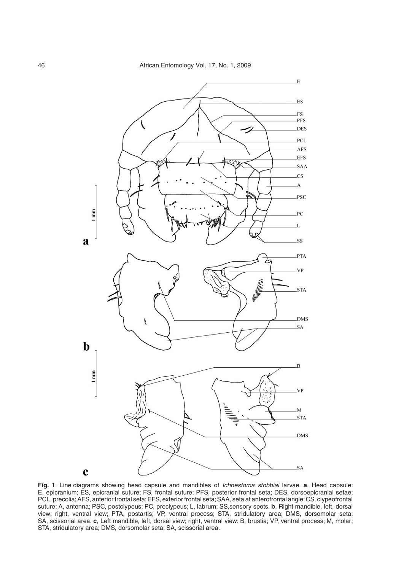

**Fig. 1**. Line diagrams showing head capsule and mandibles of Ichnestoma stobbiai larvae. **a**, Head capsule: E, epicranium; ES, epicranial suture; FS, frontal suture; PFS, posterior frontal seta; DES, dorsoepicranial setae; PCL, precolia;AFS, anterior frontal seta;EFS, exterior frontal seta;SAA, seta at anterofrontal angle;CS, clypeofrontal suture; A, antenna; PSC, postclypeus; PC, preclypeus; L, labrum; SS,sensory spots. **b**, Right mandible, left, dorsal view; right, ventral view; PTA, postartis; VP, ventral process; STA, stridulatory area; DMS, dorsomolar seta; SA, scissorial area. **c**, Left mandible, left, dorsal view; right, ventral view: B, brustia; VP, ventral process; M, molar; STA, stridulatory area; DMS, dorsomolar seta; SA, scissorial area.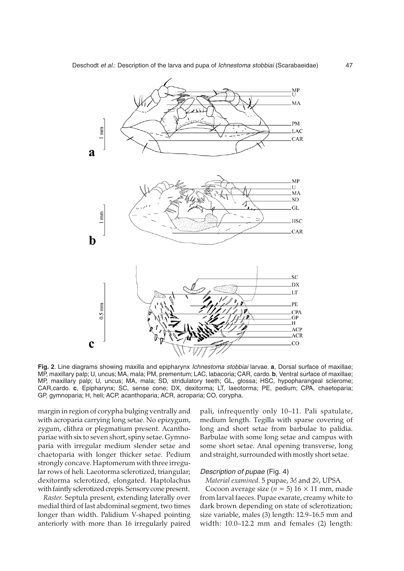

**Fig. 2**. Line diagrams showing maxilla and epipharynx Ichnestoma stobbiai larvae. **a**, Dorsal surface of maxillae; MP, maxillary palp; U, uncus; MA, mala; PM, prementum; LAC, labacoria; CAR, cardo. **b**, Ventral surface of maxillae; MP, maxillary palp; U, uncus; MA, mala; SD, stridulatory teeth; GL, glossa; HSC, hypopharangeal sclerome; CAR,cardo. **c**, Epipharynx; SC, sense cone; DX, dexitorma; LT, laeotorma; PE, pedium; CPA, chaetoparia; GP, gymnoparia; H, heli; ACP, acanthoparia; ACR, acroparia; CO, corypha.

margin in region of corypha bulging ventrally and with acroparia carrying long setae. No epizygum, zygum, clithra or plegmatium present. Acanthopariae with six to seven short, spiny setae. Gymnoparia with irregular medium slender setae and chaetoparia with longer thicker setae. Pedium strongly concave. Haptomerum with three irregular rows of heli. Laeotorma sclerotized, triangular; dexitorma sclerotized, elongated. Haptolachus with faintly sclerotized crepis. Sensory cone present.

*Raster*. Septula present, extending laterally over medial third of last abdominal segment, two times longer than width. Palidium V-shaped pointing anteriorly with more than 16 irregularly paired

pali, infrequently only 10–11. Pali spatulate, medium length. Tegilla with sparse covering of long and short setae from barbulae to palidia. Barbulae with some long setae and campus with some short setae. Anal opening transverse, long and straight, surrounded with mostly short setae.

#### Description of pupae (Fig. 4)

*Material examined*. 5 pupae, 38 and 29, UPSA.

Cocoon average size ( $n = 5$ ) 16  $\times$  11 mm, made from larval faeces. Pupae exarate, creamy white to dark brown depending on state of sclerotization; size variable, males (3) length: 12.9–16.5 mm and width: 10.0–12.2 mm and females (2) length: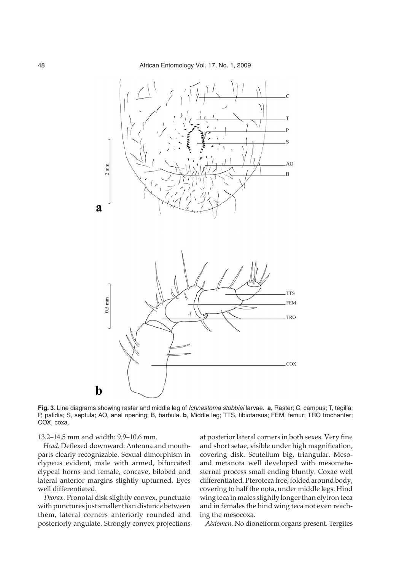

**Fig. 3**. Line diagrams showing raster and middle leg of Ichnestoma stobbiai larvae. **a**, Raster; C, campus; T, tegilla; P, palidia; S, septula; AO, anal opening; B, barbula. **b**, Middle leg; TTS, tibiotarsus; FEM, femur; TRO trochanter; COX, coxa.

13.2–14.5 mm and width: 9.9–10.6 mm.

*Head*. Deflexed downward. Antenna and mouthparts clearly recognizable. Sexual dimorphism in clypeus evident, male with armed, bifurcated clypeal horns and female, concave, bilobed and lateral anterior margins slightly upturned. Eyes well differentiated.

*Thorax*. Pronotal disk slightly convex, punctuate with punctures just smaller than distance between them, lateral corners anteriorly rounded and posteriorly angulate. Strongly convex projections

at posterior lateral corners in both sexes. Very fine and short setae, visible under high magnification, covering disk. Scutellum big, triangular. Mesoand metanota well developed with mesometasternal process small ending bluntly. Coxae well differentiated. Pteroteca free, folded around body, covering to half the nota, under middle legs. Hind wing teca in males slightly longer than elytron teca and in females the hind wing teca not even reaching the mesocoxa.

*Abdomen*. No dioneiform organs present. Tergites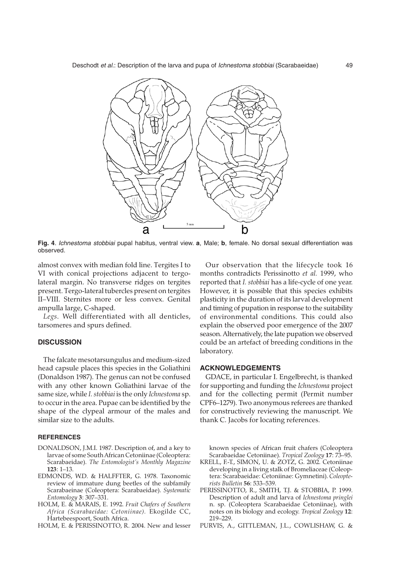

**Fig. 4**. Ichnestoma stobbiai pupal habitus, ventral view. **a**, Male; **b**, female. No dorsal sexual differentiation was observed.

almost convex with median fold line. Tergites I to VI with conical projections adjacent to tergolateral margin. No transverse ridges on tergites present. Tergo-lateral tubercles present on tergites II–VIII. Sternites more or less convex. Genital ampulla large, C-shaped.

*Legs*. Well differentiated with all denticles, tarsomeres and spurs defined.

### **DISCUSSION**

The falcate mesotarsungulus and medium-sized head capsule places this species in the Goliathini (Donaldson 1987). The genus can not be confused with any other known Goliathini larvae of the same size, while *I. stobbiai* is the only *Ichnestoma* sp. to occur in the area. Pupae can be identified by the shape of the clypeal armour of the males and similar size to the adults.

### **REFERENCES**

- DONALDSON, J.M.I. 1987. Description of, and a key to larvae of some South African Cetoniinae (Coleoptera: Scarabaeidae). *The Entomologist's Monthly Magazine* **123**: 1–13.
- EDMONDS, W.D. & HALFFTER, G. 1978. Taxonomic review of immature dung beetles of the subfamily Scarabaeinae (Coleoptera: Scarabaeidae). *Systematic Entomology* **3**: 307–331.
- HOLM, E. & MARAIS, E. 1992. *Fruit Chafers of Southern Africa (Scarabaeidae: Cetoniinae).* Ekogilde CC, Hartebeespoort, South Africa.
- HOLM, E. & PERISSINOTTO, R. 2004. New and lesser

Our observation that the lifecycle took 16 months contradicts Perissinotto *et al.* 1999, who reported that *I. stobbiai* has a life-cycle of one year. However, it is possible that this species exhibits plasticity in the duration of its larval development and timing of pupation in response to the suitability of environmental conditions. This could also explain the observed poor emergence of the 2007 season. Alternatively, the late pupation we observed could be an artefact of breeding conditions in the laboratory.

#### **ACKNOWLEDGEMENTS**

GDACE, in particular I. Engelbrecht, is thanked for supporting and funding the *Ichnestoma* project and for the collecting permit (Permit number CPF6–1279). Two anonymous referees are thanked for constructively reviewing the manuscript. We thank C. Jacobs for locating references.

known species of African fruit chafers (Coleoptera Scarabaeidae Cetoniinae). *Tropical Zoology* **17**: 73–95.

- KRELL, F.-T., SIMON, U. & ZOTZ, G. 2002. Cetoniinae developing in a living stalk of Bromeliaceae (Coleoptera: Scarabaeidae: Cetoniinae: Gymnetini). *Coleopterists Bulletin* **56**: 533–539.
- PERISSINOTTO, R., SMITH, T.J. & STOBBIA, P. 1999. Description of adult and larva of *Ichnestoma pringlei* n. sp. (Coleoptera Scarabaeidae Cetoniinae), with notes on its biology and ecology. *Tropical Zoology* **12**: 219–229.
- PURVIS, A., GITTLEMAN, J.L., COWLISHAW, G. &